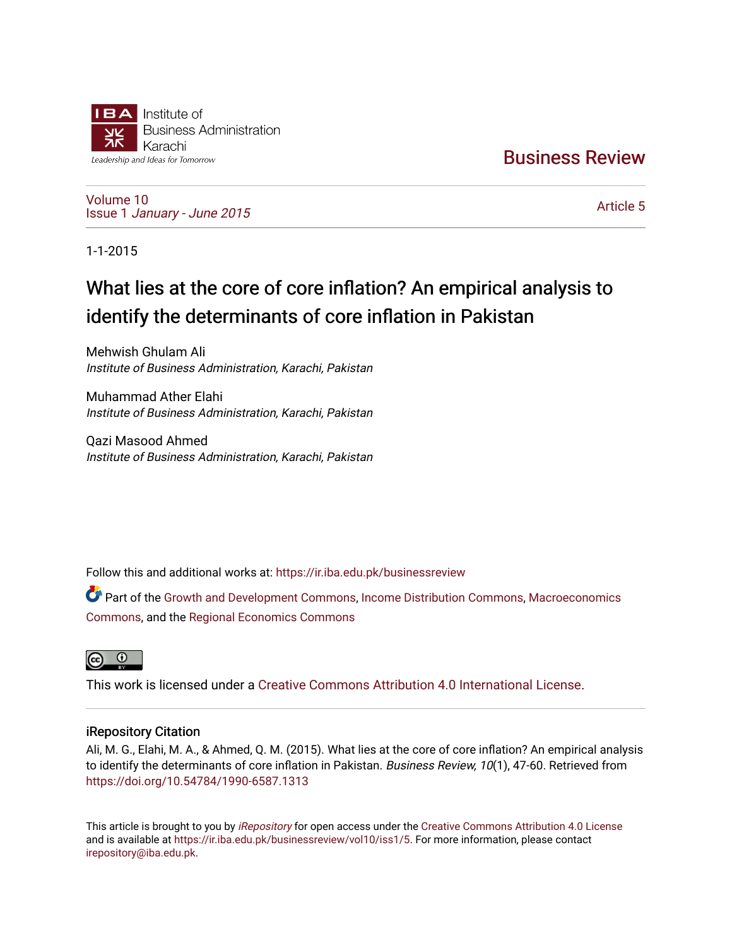

[Business Review](https://ir.iba.edu.pk/businessreview) 

[Volume 10](https://ir.iba.edu.pk/businessreview/vol10) Issue 1 [January - June 2015](https://ir.iba.edu.pk/businessreview/vol10/iss1) 

[Article 5](https://ir.iba.edu.pk/businessreview/vol10/iss1/5) 

1-1-2015

# What lies at the core of core inflation? An empirical analysis to identify the determinants of core inflation in Pakistan

Mehwish Ghulam Ali Institute of Business Administration, Karachi, Pakistan

Muhammad Ather Elahi Institute of Business Administration, Karachi, Pakistan

Qazi Masood Ahmed Institute of Business Administration, Karachi, Pakistan

Follow this and additional works at: [https://ir.iba.edu.pk/businessreview](https://ir.iba.edu.pk/businessreview?utm_source=ir.iba.edu.pk%2Fbusinessreview%2Fvol10%2Fiss1%2F5&utm_medium=PDF&utm_campaign=PDFCoverPages) 

Part of the [Growth and Development Commons,](http://network.bepress.com/hgg/discipline/346?utm_source=ir.iba.edu.pk%2Fbusinessreview%2Fvol10%2Fiss1%2F5&utm_medium=PDF&utm_campaign=PDFCoverPages) [Income Distribution Commons,](http://network.bepress.com/hgg/discipline/1269?utm_source=ir.iba.edu.pk%2Fbusinessreview%2Fvol10%2Fiss1%2F5&utm_medium=PDF&utm_campaign=PDFCoverPages) [Macroeconomics](http://network.bepress.com/hgg/discipline/350?utm_source=ir.iba.edu.pk%2Fbusinessreview%2Fvol10%2Fiss1%2F5&utm_medium=PDF&utm_campaign=PDFCoverPages)  [Commons](http://network.bepress.com/hgg/discipline/350?utm_source=ir.iba.edu.pk%2Fbusinessreview%2Fvol10%2Fiss1%2F5&utm_medium=PDF&utm_campaign=PDFCoverPages), and the [Regional Economics Commons](http://network.bepress.com/hgg/discipline/1307?utm_source=ir.iba.edu.pk%2Fbusinessreview%2Fvol10%2Fiss1%2F5&utm_medium=PDF&utm_campaign=PDFCoverPages)



This work is licensed under a [Creative Commons Attribution 4.0 International License](https://creativecommons.org/licenses/by/4.0/).

# iRepository Citation

Ali, M. G., Elahi, M. A., & Ahmed, Q. M. (2015). What lies at the core of core inflation? An empirical analysis to identify the determinants of core inflation in Pakistan. Business Review, 10(1), 47-60. Retrieved from <https://doi.org/10.54784/1990-6587.1313>

This article is brought to you by [iRepository](https://ir.iba.edu.pk/) for open access under the Creative Commons Attribution 4.0 License and is available at [https://ir.iba.edu.pk/businessreview/vol10/iss1/5.](https://ir.iba.edu.pk/businessreview/vol10/iss1/5) For more information, please contact [irepository@iba.edu.pk.](mailto:irepository@iba.edu.pk)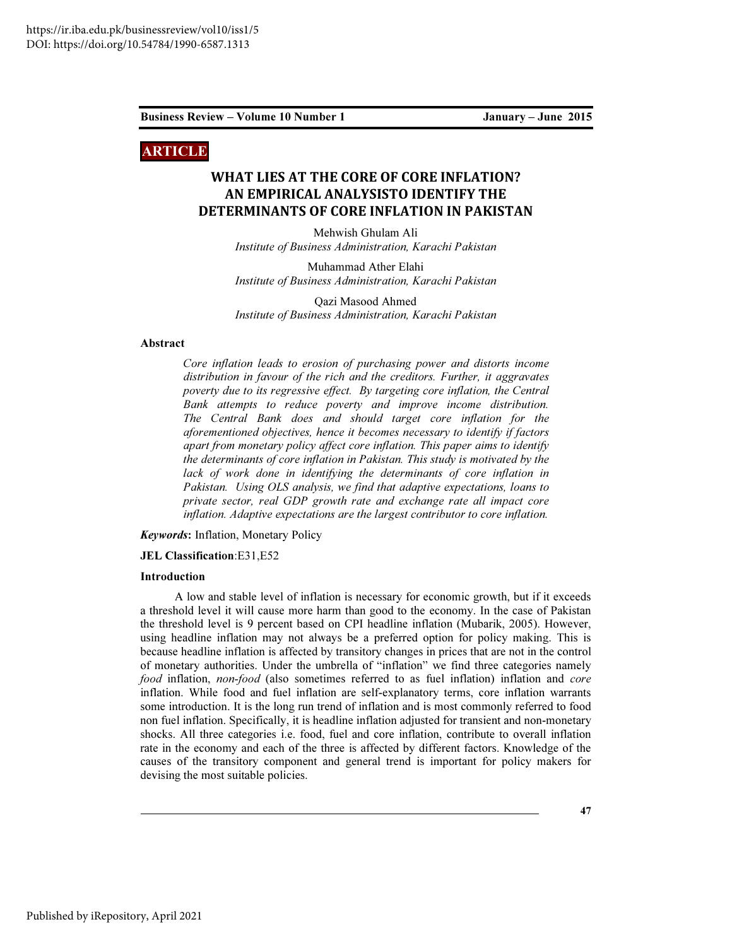# ARTICLE

# WHAT LIES AT THE CORE OF CORE INFLATION? AN EMPIRICAL ANALYSISTO IDENTIFY THE DETERMINANTS OF CORE INFLATION IN PAKISTAN

Mehwish Ghulam Ali Institute of Business Administration, Karachi Pakistan

Muhammad Ather Elahi Institute of Business Administration, Karachi Pakistan

Qazi Masood Ahmed Institute of Business Administration, Karachi Pakistan

#### Abstract

Core inflation leads to erosion of purchasing power and distorts income distribution in favour of the rich and the creditors. Further, it aggravates poverty due to its regressive effect. By targeting core inflation, the Central Bank attempts to reduce poverty and improve income distribution. The Central Bank does and should target core inflation for the aforementioned objectives, hence it becomes necessary to identify if factors apart from monetary policy affect core inflation. This paper aims to identify the determinants of core inflation in Pakistan. This study is motivated by the lack of work done in identifying the determinants of core inflation in Pakistan. Using OLS analysis, we find that adaptive expectations, loans to private sector, real GDP growth rate and exchange rate all impact core inflation. Adaptive expectations are the largest contributor to core inflation.

Keywords: Inflation, Monetary Policy

JEL Classification:E31,E52

#### Introduction

A low and stable level of inflation is necessary for economic growth, but if it exceeds a threshold level it will cause more harm than good to the economy. In the case of Pakistan the threshold level is 9 percent based on CPI headline inflation (Mubarik, 2005). However, using headline inflation may not always be a preferred option for policy making. This is because headline inflation is affected by transitory changes in prices that are not in the control of monetary authorities. Under the umbrella of "inflation" we find three categories namely food inflation, non-food (also sometimes referred to as fuel inflation) inflation and core inflation. While food and fuel inflation are self-explanatory terms, core inflation warrants some introduction. It is the long run trend of inflation and is most commonly referred to food non fuel inflation. Specifically, it is headline inflation adjusted for transient and non-monetary shocks. All three categories i.e. food, fuel and core inflation, contribute to overall inflation rate in the economy and each of the three is affected by different factors. Knowledge of the causes of the transitory component and general trend is important for policy makers for devising the most suitable policies.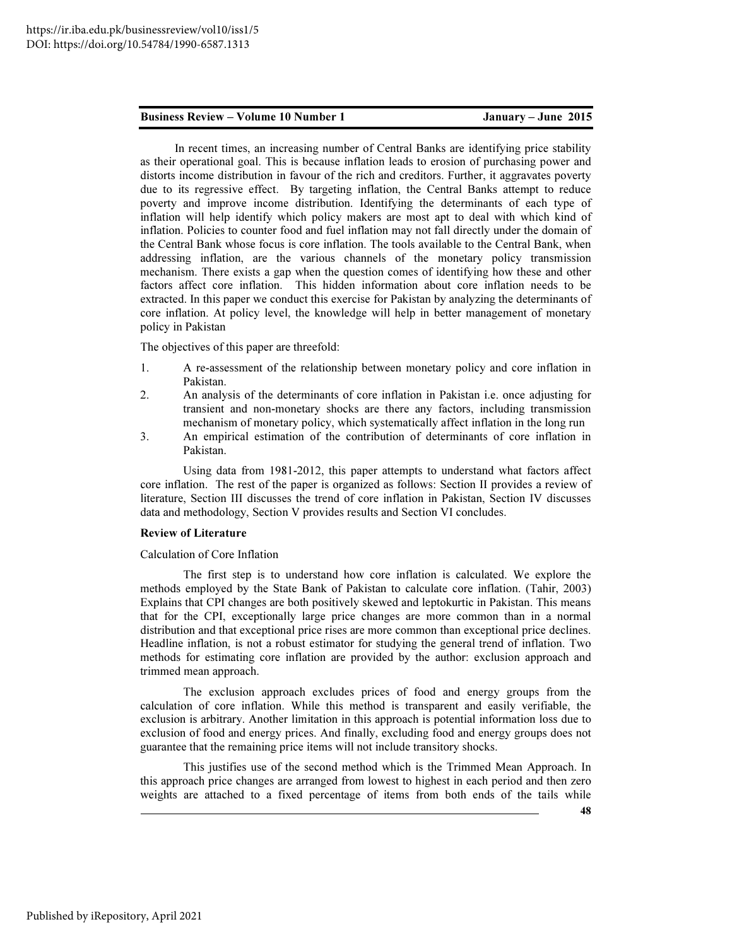In recent times, an increasing number of Central Banks are identifying price stability as their operational goal. This is because inflation leads to erosion of purchasing power and distorts income distribution in favour of the rich and creditors. Further, it aggravates poverty due to its regressive effect. By targeting inflation, the Central Banks attempt to reduce poverty and improve income distribution. Identifying the determinants of each type of inflation will help identify which policy makers are most apt to deal with which kind of inflation. Policies to counter food and fuel inflation may not fall directly under the domain of the Central Bank whose focus is core inflation. The tools available to the Central Bank, when addressing inflation, are the various channels of the monetary policy transmission mechanism. There exists a gap when the question comes of identifying how these and other factors affect core inflation. This hidden information about core inflation needs to be extracted. In this paper we conduct this exercise for Pakistan by analyzing the determinants of core inflation. At policy level, the knowledge will help in better management of monetary policy in Pakistan

The objectives of this paper are threefold:

- 1. A re-assessment of the relationship between monetary policy and core inflation in Pakistan.
- 2. An analysis of the determinants of core inflation in Pakistan i.e. once adjusting for transient and non-monetary shocks are there any factors, including transmission mechanism of monetary policy, which systematically affect inflation in the long run
- 3. An empirical estimation of the contribution of determinants of core inflation in Pakistan.

Using data from 1981-2012, this paper attempts to understand what factors affect core inflation. The rest of the paper is organized as follows: Section II provides a review of literature, Section III discusses the trend of core inflation in Pakistan, Section IV discusses data and methodology, Section V provides results and Section VI concludes.

#### Review of Literature

Calculation of Core Inflation

The first step is to understand how core inflation is calculated. We explore the methods employed by the State Bank of Pakistan to calculate core inflation. (Tahir, 2003) Explains that CPI changes are both positively skewed and leptokurtic in Pakistan. This means that for the CPI, exceptionally large price changes are more common than in a normal distribution and that exceptional price rises are more common than exceptional price declines. Headline inflation, is not a robust estimator for studying the general trend of inflation. Two methods for estimating core inflation are provided by the author: exclusion approach and trimmed mean approach.

The exclusion approach excludes prices of food and energy groups from the calculation of core inflation. While this method is transparent and easily verifiable, the exclusion is arbitrary. Another limitation in this approach is potential information loss due to exclusion of food and energy prices. And finally, excluding food and energy groups does not guarantee that the remaining price items will not include transitory shocks.

This justifies use of the second method which is the Trimmed Mean Approach. In this approach price changes are arranged from lowest to highest in each period and then zero weights are attached to a fixed percentage of items from both ends of the tails while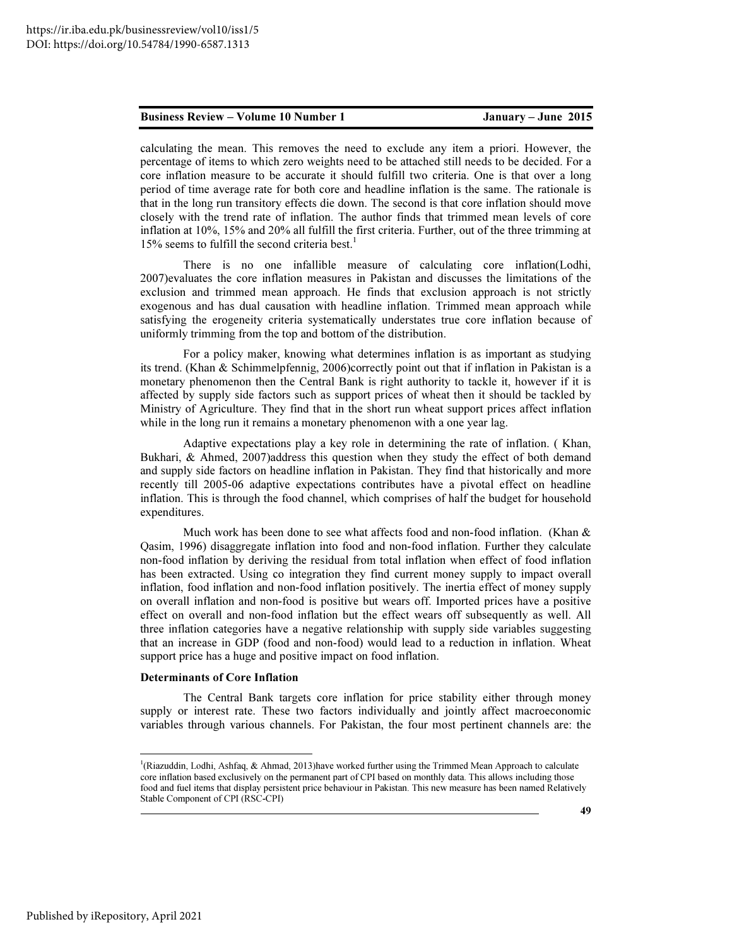calculating the mean. This removes the need to exclude any item a priori. However, the percentage of items to which zero weights need to be attached still needs to be decided. For a core inflation measure to be accurate it should fulfill two criteria. One is that over a long period of time average rate for both core and headline inflation is the same. The rationale is that in the long run transitory effects die down. The second is that core inflation should move closely with the trend rate of inflation. The author finds that trimmed mean levels of core inflation at 10%, 15% and 20% all fulfill the first criteria. Further, out of the three trimming at  $15\%$  seems to fulfill the second criteria best.<sup>1</sup>

There is no one infallible measure of calculating core inflation(Lodhi, 2007)evaluates the core inflation measures in Pakistan and discusses the limitations of the exclusion and trimmed mean approach. He finds that exclusion approach is not strictly exogenous and has dual causation with headline inflation. Trimmed mean approach while satisfying the erogeneity criteria systematically understates true core inflation because of uniformly trimming from the top and bottom of the distribution.

For a policy maker, knowing what determines inflation is as important as studying its trend. (Khan & Schimmelpfennig, 2006)correctly point out that if inflation in Pakistan is a monetary phenomenon then the Central Bank is right authority to tackle it, however if it is affected by supply side factors such as support prices of wheat then it should be tackled by Ministry of Agriculture. They find that in the short run wheat support prices affect inflation while in the long run it remains a monetary phenomenon with a one year lag.

Adaptive expectations play a key role in determining the rate of inflation. ( Khan, Bukhari, & Ahmed, 2007)address this question when they study the effect of both demand and supply side factors on headline inflation in Pakistan. They find that historically and more recently till 2005-06 adaptive expectations contributes have a pivotal effect on headline inflation. This is through the food channel, which comprises of half the budget for household expenditures.

Much work has been done to see what affects food and non-food inflation. (Khan  $\&$ Qasim, 1996) disaggregate inflation into food and non-food inflation. Further they calculate non-food inflation by deriving the residual from total inflation when effect of food inflation has been extracted. Using co integration they find current money supply to impact overall inflation, food inflation and non-food inflation positively. The inertia effect of money supply on overall inflation and non-food is positive but wears off. Imported prices have a positive effect on overall and non-food inflation but the effect wears off subsequently as well. All three inflation categories have a negative relationship with supply side variables suggesting that an increase in GDP (food and non-food) would lead to a reduction in inflation. Wheat support price has a huge and positive impact on food inflation.

#### Determinants of Core Inflation

The Central Bank targets core inflation for price stability either through money supply or interest rate. These two factors individually and jointly affect macroeconomic variables through various channels. For Pakistan, the four most pertinent channels are: the

<sup>&</sup>lt;sup>1</sup>(Riazuddin, Lodhi, Ashfaq, & Ahmad, 2013)have worked further using the Trimmed Mean Approach to calculate core inflation based exclusively on the permanent part of CPI based on monthly data. This allows including those food and fuel items that display persistent price behaviour in Pakistan. This new measure has been named Relatively Stable Component of CPI (RSC-CPI)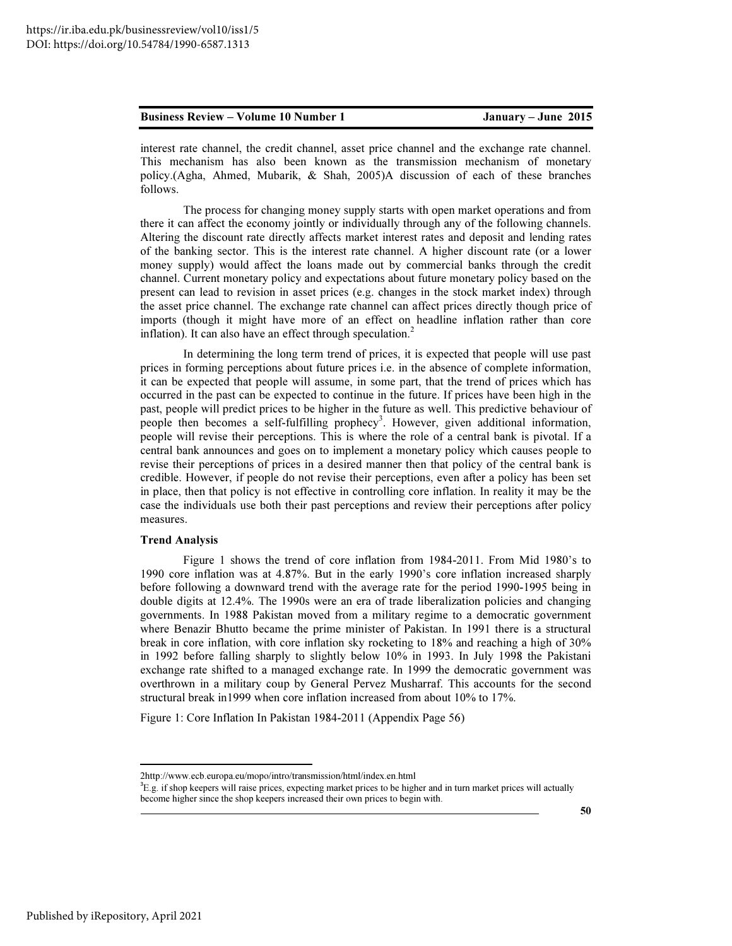interest rate channel, the credit channel, asset price channel and the exchange rate channel. This mechanism has also been known as the transmission mechanism of monetary policy.(Agha, Ahmed, Mubarik, & Shah, 2005)A discussion of each of these branches follows.

The process for changing money supply starts with open market operations and from there it can affect the economy jointly or individually through any of the following channels. Altering the discount rate directly affects market interest rates and deposit and lending rates of the banking sector. This is the interest rate channel. A higher discount rate (or a lower money supply) would affect the loans made out by commercial banks through the credit channel. Current monetary policy and expectations about future monetary policy based on the present can lead to revision in asset prices (e.g. changes in the stock market index) through the asset price channel. The exchange rate channel can affect prices directly though price of imports (though it might have more of an effect on headline inflation rather than core inflation). It can also have an effect through speculation.<sup>2</sup>

In determining the long term trend of prices, it is expected that people will use past prices in forming perceptions about future prices i.e. in the absence of complete information, it can be expected that people will assume, in some part, that the trend of prices which has occurred in the past can be expected to continue in the future. If prices have been high in the past, people will predict prices to be higher in the future as well. This predictive behaviour of people then becomes a self-fulfilling prophecy<sup>3</sup>. However, given additional information, people will revise their perceptions. This is where the role of a central bank is pivotal. If a central bank announces and goes on to implement a monetary policy which causes people to revise their perceptions of prices in a desired manner then that policy of the central bank is credible. However, if people do not revise their perceptions, even after a policy has been set in place, then that policy is not effective in controlling core inflation. In reality it may be the case the individuals use both their past perceptions and review their perceptions after policy measures.

#### Trend Analysis

Figure 1 shows the trend of core inflation from 1984-2011. From Mid 1980's to 1990 core inflation was at 4.87%. But in the early 1990's core inflation increased sharply before following a downward trend with the average rate for the period 1990-1995 being in double digits at 12.4%. The 1990s were an era of trade liberalization policies and changing governments. In 1988 Pakistan moved from a military regime to a democratic government where Benazir Bhutto became the prime minister of Pakistan. In 1991 there is a structural break in core inflation, with core inflation sky rocketing to 18% and reaching a high of 30% in 1992 before falling sharply to slightly below 10% in 1993. In July 1998 the Pakistani exchange rate shifted to a managed exchange rate. In 1999 the democratic government was overthrown in a military coup by General Pervez Musharraf. This accounts for the second structural break in1999 when core inflation increased from about 10% to 17%.

Figure 1: Core Inflation In Pakistan 1984-2011 (Appendix Page 56)

<sup>2</sup>http://www.ecb.europa.eu/mopo/intro/transmission/html/index.en.html

 ${}^{3}E.g.$  if shop keepers will raise prices, expecting market prices to be higher and in turn market prices will actually become higher since the shop keepers increased their own prices to begin with.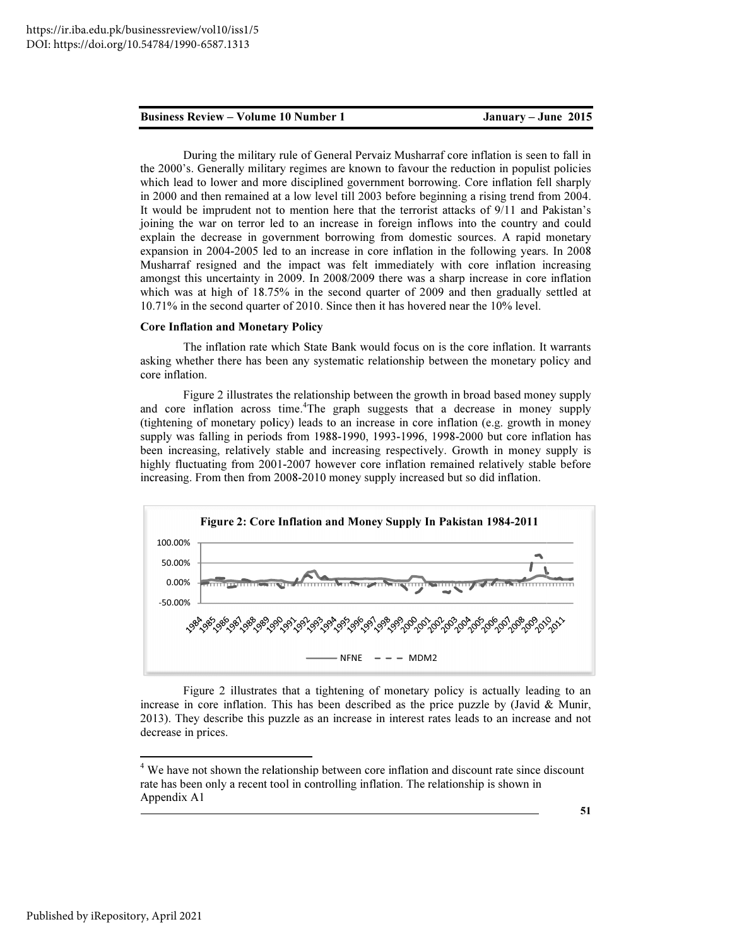#### January - June 2015

During the military rule of General Pervaiz Musharraf core inflation is seen to fall in the 2000's. Generally military regimes are known to favour the reduction in populist policies which lead to lower and more disciplined government borrowing. Core inflation fell sharply the 2000's. Generally military regimes are known to favour the reduction in populist policies which lead to lower and more disciplined government borrowing. Core inflation fell sharply in 2000 and then remained at a low le It would be imprudent not to mention here that the terrorist attacks of 9/11 and Pakistan's joining the war on terror led to an increase in foreign inflows into the country and could explain the decrease in government borrowing from domestic sources. A rapid monetary expansion in 2004-2005 led to an increase in core inflation in the following years. In 2008 Musharraf resigned and the impact was felt immediately with core inflation increasing amongst this uncertainty in 2009. In 2008/2009 there was a sharp increase in core inflation which was at high of 18.75% in the second quarter of 2009 and then gradually settled at 10.71% in the second quarter of 2010. Since then it has hovered near the 10% level. It would be imprudent not to mention here that the terrorist attacks of 9/11 and Pakistan's<br>joining the war on terror led to an increase in foreign inflows into the country and could<br>explain the decrease in government borr https://ir.iba.edu.pk/businesreview/vol10/iss1/5<br>
DDG: https://doi.org/10.54784/1990-6587.1313<br> **Eusiness Review – Volume 10 Number 1**<br> **Dusing the military regimes are known to favour the reduction in populist policies<br>** 

#### Core Inflation and Monetary Policy

The inflation rate which State Bank would focus on is the core inflation. It warrants asking whether there has been any systematic relationship between the monetary policy and core inflation.

Figure 2 illustrates the relationship between the growth in broad based money supply and core inflation across time. <sup>4</sup>The graph suggests that a decrease in money supply (tightening of monetary policy) leads to an increase in core inflation (e.g. growth in money (tightening of monetary policy) leads to an increase in core inflation (e.g. growth in money supply was falling in periods from 1988-1990, 1993-1996, 1998-2000 but core inflation has been increasing, relatively stable and increasing respectively. Growth in money supply is been increasing, relatively stable and increasing respectively. Growth in money supply is highly fluctuating from 2001-2007 however core inflation remained relatively stable before increasing. From then from 2008-2010 money supply increased but so did inflation.



Figure 2 illustrates that a tightening of monetary policy is actually leading to an in core inflation. This has been described as the price puzzle by (Javid & Munir, increase in core inflation. This has been described as the price puzzle by (Javid & Munir, 2013). They describe this puzzle as an increase in interest rates leads to an increase and not decrease in prices.

 $\overline{a}$ 

<sup>&</sup>lt;sup>4</sup> We have not shown the relationship between core inflation and discount rate since discount rate has been only a recent tool in controlling inflation. The relationship is shown in Appendix A1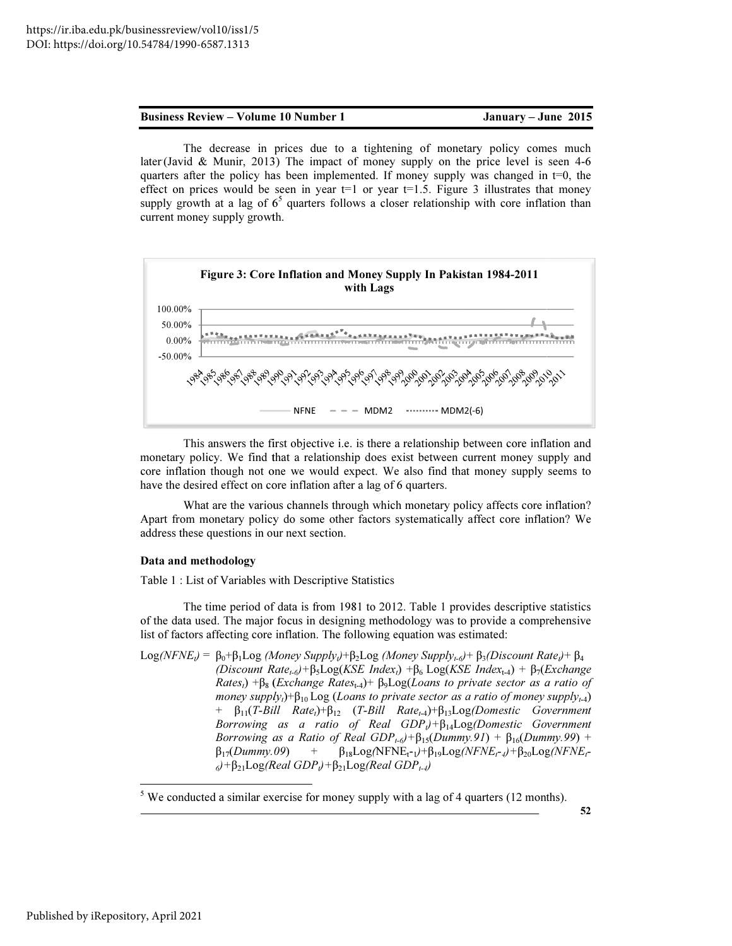January - June 2015

The decrease in prices due to a tightening of monetary policy comes much The decrease in prices due to a tightening of monetary policy comes much later (Javid & Munir, 2013) The impact of money supply on the price level is seen 4-6 quarters after the policy has been implemented. If money supply was changed in  $t=0$ , the effect on prices would be seen in year  $t=1$  or year  $t=1.5$ . Figure 3 illustrates that money quarters after the policy has been implemented. If money supply was changed in t=0, the effect on prices would be seen in year t=1 or year t=1.5. Figure 3 illustrates that money supply growth at a lag of  $6<sup>5</sup>$  quarte current money supply growth.



This answers the first objective i.e. is there a relationship between core inflation and monetary policy. We find that a relationship does exist between current money supply and core inflation though not one we would expect. We also find that money supply seems to have the desired effect on core inflation after a lag of 6 quarters. This answers the first objective i.e. is there a relationship between core inflation and metary policy. We find that a relationship does exist between current money supply and re inflation though not one we would expect. W

What are the various channels through which monetary policy affects core inflation? Apart from monetary policy do some other factors systematically affect core inflation? We address these questions in our next section.

#### Data and methodology

Table 1 : List of Variables with Descriptive Statistics

 $\overline{a}$ 

The time period of data is from 1981 to 2012. Table 1 provides descriptive statistics of the data used. The major focus in designing methodology was to provide list of factors affecting core inflation. The following equation was estimated:

 $Log(NFNE_t) = \beta_0 + \beta_1 Log (Money Supply_t) + \beta_2 Log (Money Supply_{t-0}) + \beta_3 (Discount Rate_t) + \beta_4$ *(Discount Rate<sub>t-6</sub>)*+ $\beta_5$ Log(*KSE Index<sub>t</sub>)* + $\beta_6$  Log(*KSE Index<sub>t-4</sub>)* +  $\beta_7$ (*Exchange Rates<sub>t</sub>*) +β<sub>8</sub> (*Exchange Rates*<sub>t-4</sub>)+ β<sub>9</sub>Log(*Loans to private sector as a ratio of money supply*<sub>*t*</sub>)+ $\beta_{10}$  Log (*Loans to private sector as a ratio of money supply<sub><i>t*-4</sub>)</sub> + β<sub>11</sub>(*T-Bill Rate<sub>l</sub>*)+β<sub>12</sub> (*T-Bill Rate<sub>t-4</sub>)*+β<sub>13</sub>Log(*Domestic Government Borrowing as a ratio of Real GDP*<sub> $θ$ *</sub></sub> + β<sub>14</sub>Log(Domestic Government*</sub> *Borrowing as a Ratio of Real GDP*<sub>*t*-6</sub> $)+$ β<sub>15</sub>(*Dummy.91*) + β<sub>16</sub>(*Dummy.99*) + β17(*Dummy.09* <sup>6</sup>*)+*β21Log*(Real GDP (Real* t*)+*β21Log*(Real GDP*t-4*)* ) +  $β_{18}Log(NFNE_{t} - 1) + β_{19}Log(NFNE_{t} - 4) + β_{20}Log(NFNE_{t} - 1)$ 

<sup>&</sup>lt;sup>5</sup> We conducted a similar exercise for money supply with a lag of 4 quarters (12 months).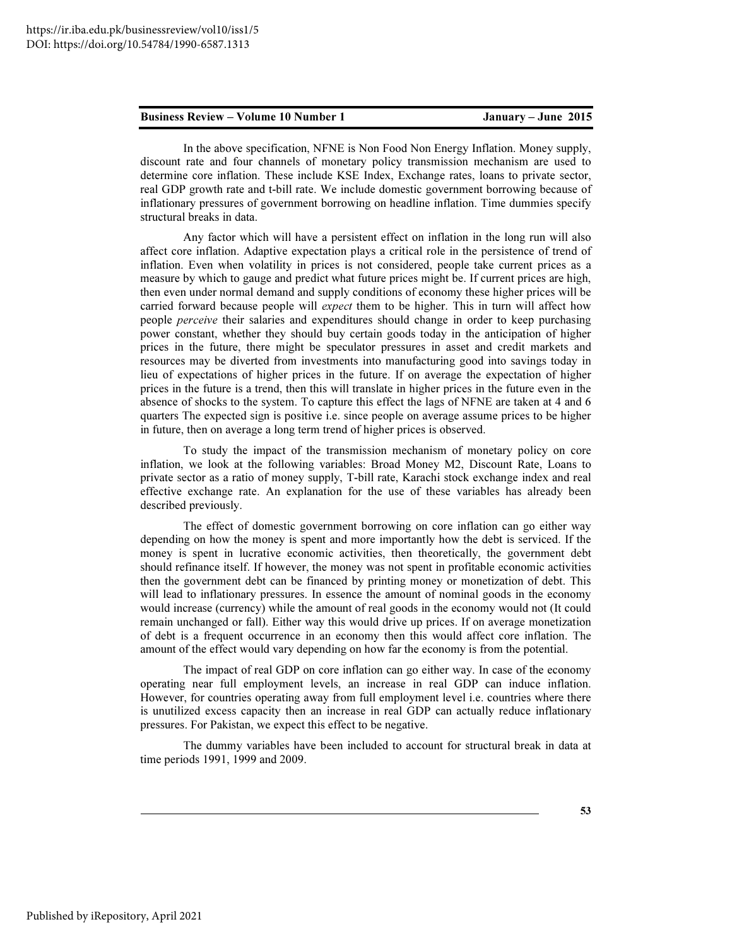In the above specification, NFNE is Non Food Non Energy Inflation. Money supply, discount rate and four channels of monetary policy transmission mechanism are used to determine core inflation. These include KSE Index, Exchange rates, loans to private sector, real GDP growth rate and t-bill rate. We include domestic government borrowing because of inflationary pressures of government borrowing on headline inflation. Time dummies specify structural breaks in data.

Any factor which will have a persistent effect on inflation in the long run will also affect core inflation. Adaptive expectation plays a critical role in the persistence of trend of inflation. Even when volatility in prices is not considered, people take current prices as a measure by which to gauge and predict what future prices might be. If current prices are high, then even under normal demand and supply conditions of economy these higher prices will be carried forward because people will *expect* them to be higher. This in turn will affect how people perceive their salaries and expenditures should change in order to keep purchasing power constant, whether they should buy certain goods today in the anticipation of higher prices in the future, there might be speculator pressures in asset and credit markets and resources may be diverted from investments into manufacturing good into savings today in lieu of expectations of higher prices in the future. If on average the expectation of higher prices in the future is a trend, then this will translate in higher prices in the future even in the absence of shocks to the system. To capture this effect the lags of NFNE are taken at 4 and 6 quarters The expected sign is positive i.e. since people on average assume prices to be higher in future, then on average a long term trend of higher prices is observed.

To study the impact of the transmission mechanism of monetary policy on core inflation, we look at the following variables: Broad Money M2, Discount Rate, Loans to private sector as a ratio of money supply, T-bill rate, Karachi stock exchange index and real effective exchange rate. An explanation for the use of these variables has already been described previously.

The effect of domestic government borrowing on core inflation can go either way depending on how the money is spent and more importantly how the debt is serviced. If the money is spent in lucrative economic activities, then theoretically, the government debt should refinance itself. If however, the money was not spent in profitable economic activities then the government debt can be financed by printing money or monetization of debt. This will lead to inflationary pressures. In essence the amount of nominal goods in the economy would increase (currency) while the amount of real goods in the economy would not (It could remain unchanged or fall). Either way this would drive up prices. If on average monetization of debt is a frequent occurrence in an economy then this would affect core inflation. The amount of the effect would vary depending on how far the economy is from the potential.

The impact of real GDP on core inflation can go either way. In case of the economy operating near full employment levels, an increase in real GDP can induce inflation. However, for countries operating away from full employment level i.e. countries where there is unutilized excess capacity then an increase in real GDP can actually reduce inflationary pressures. For Pakistan, we expect this effect to be negative.

The dummy variables have been included to account for structural break in data at time periods 1991, 1999 and 2009.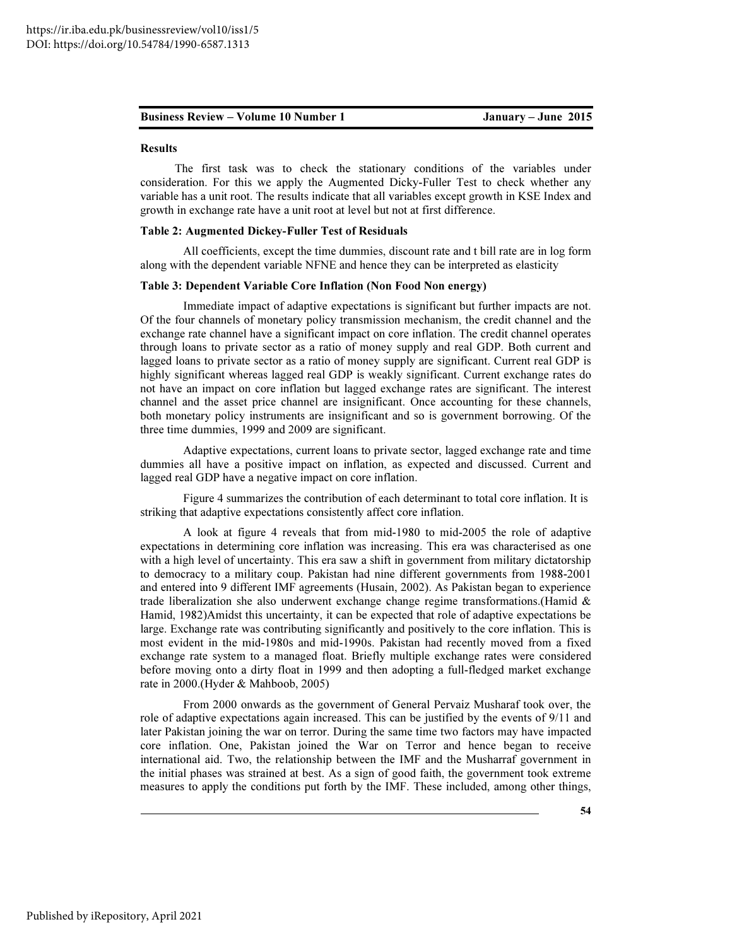#### Results

The first task was to check the stationary conditions of the variables under consideration. For this we apply the Augmented Dicky-Fuller Test to check whether any variable has a unit root. The results indicate that all variables except growth in KSE Index and growth in exchange rate have a unit root at level but not at first difference.

### Table 2: Augmented Dickey-Fuller Test of Residuals

All coefficients, except the time dummies, discount rate and t bill rate are in log form along with the dependent variable NFNE and hence they can be interpreted as elasticity

#### Table 3: Dependent Variable Core Inflation (Non Food Non energy)

Immediate impact of adaptive expectations is significant but further impacts are not. Of the four channels of monetary policy transmission mechanism, the credit channel and the exchange rate channel have a significant impact on core inflation. The credit channel operates through loans to private sector as a ratio of money supply and real GDP. Both current and lagged loans to private sector as a ratio of money supply are significant. Current real GDP is highly significant whereas lagged real GDP is weakly significant. Current exchange rates do not have an impact on core inflation but lagged exchange rates are significant. The interest channel and the asset price channel are insignificant. Once accounting for these channels, both monetary policy instruments are insignificant and so is government borrowing. Of the three time dummies, 1999 and 2009 are significant.

Adaptive expectations, current loans to private sector, lagged exchange rate and time dummies all have a positive impact on inflation, as expected and discussed. Current and lagged real GDP have a negative impact on core inflation.

Figure 4 summarizes the contribution of each determinant to total core inflation. It is striking that adaptive expectations consistently affect core inflation.

A look at figure 4 reveals that from mid-1980 to mid-2005 the role of adaptive expectations in determining core inflation was increasing. This era was characterised as one with a high level of uncertainty. This era saw a shift in government from military dictatorship to democracy to a military coup. Pakistan had nine different governments from 1988-2001 and entered into 9 different IMF agreements (Husain, 2002). As Pakistan began to experience trade liberalization she also underwent exchange change regime transformations. (Hamid  $\&$ Hamid, 1982)Amidst this uncertainty, it can be expected that role of adaptive expectations be large. Exchange rate was contributing significantly and positively to the core inflation. This is most evident in the mid-1980s and mid-1990s. Pakistan had recently moved from a fixed exchange rate system to a managed float. Briefly multiple exchange rates were considered before moving onto a dirty float in 1999 and then adopting a full-fledged market exchange rate in 2000.(Hyder & Mahboob, 2005)

From 2000 onwards as the government of General Pervaiz Musharaf took over, the role of adaptive expectations again increased. This can be justified by the events of 9/11 and later Pakistan joining the war on terror. During the same time two factors may have impacted core inflation. One, Pakistan joined the War on Terror and hence began to receive international aid. Two, the relationship between the IMF and the Musharraf government in the initial phases was strained at best. As a sign of good faith, the government took extreme measures to apply the conditions put forth by the IMF. These included, among other things,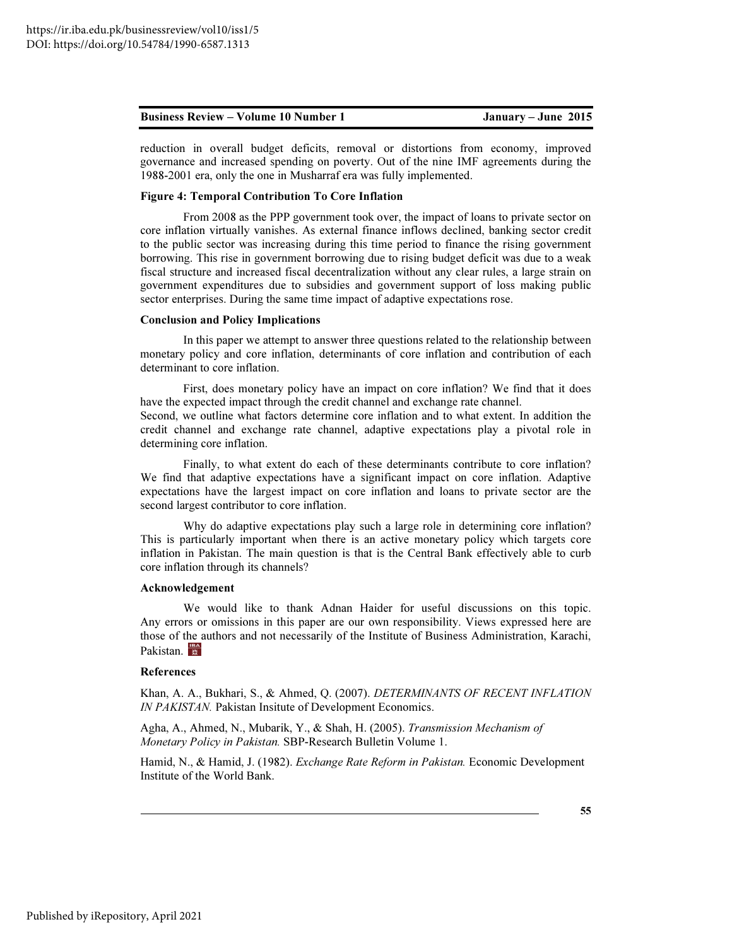| <b>Business Review – Volume 10 Number 1</b> | January – June $2015$ |
|---------------------------------------------|-----------------------|
|---------------------------------------------|-----------------------|

reduction in overall budget deficits, removal or distortions from economy, improved governance and increased spending on poverty. Out of the nine IMF agreements during the 1988-2001 era, only the one in Musharraf era was fully implemented.

### Figure 4: Temporal Contribution To Core Inflation

From 2008 as the PPP government took over, the impact of loans to private sector on core inflation virtually vanishes. As external finance inflows declined, banking sector credit to the public sector was increasing during this time period to finance the rising government borrowing. This rise in government borrowing due to rising budget deficit was due to a weak fiscal structure and increased fiscal decentralization without any clear rules, a large strain on government expenditures due to subsidies and government support of loss making public sector enterprises. During the same time impact of adaptive expectations rose.

#### Conclusion and Policy Implications

In this paper we attempt to answer three questions related to the relationship between monetary policy and core inflation, determinants of core inflation and contribution of each determinant to core inflation.

First, does monetary policy have an impact on core inflation? We find that it does have the expected impact through the credit channel and exchange rate channel. Second, we outline what factors determine core inflation and to what extent. In addition the credit channel and exchange rate channel, adaptive expectations play a pivotal role in determining core inflation.

Finally, to what extent do each of these determinants contribute to core inflation? We find that adaptive expectations have a significant impact on core inflation. Adaptive expectations have the largest impact on core inflation and loans to private sector are the second largest contributor to core inflation.

Why do adaptive expectations play such a large role in determining core inflation? This is particularly important when there is an active monetary policy which targets core inflation in Pakistan. The main question is that is the Central Bank effectively able to curb core inflation through its channels?

#### Acknowledgement

We would like to thank Adnan Haider for useful discussions on this topic. Any errors or omissions in this paper are our own responsibility. Views expressed here are those of the authors and not necessarily of the Institute of Business Administration, Karachi, Pakistan.

#### References

Khan, A. A., Bukhari, S., & Ahmed, Q. (2007). DETERMINANTS OF RECENT INFLATION IN PAKISTAN. Pakistan Insitute of Development Economics.

Agha, A., Ahmed, N., Mubarik, Y., & Shah, H. (2005). Transmission Mechanism of Monetary Policy in Pakistan. SBP-Research Bulletin Volume 1.

Hamid, N., & Hamid, J. (1982). Exchange Rate Reform in Pakistan. Economic Development Institute of the World Bank.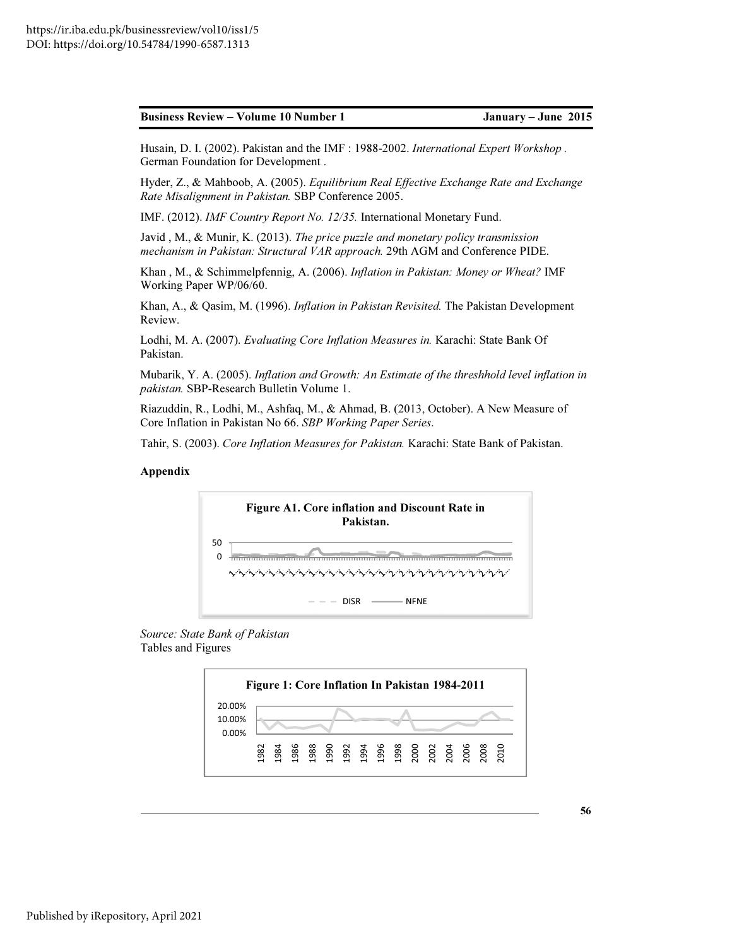January - June 2015

Husain, D. I. (2002). Pakistan and the IMF : 1988-2002. *International Expert Workshop*. German Foundation for Development .

Hyder, Z., & Mahboob, A. (2005). *Equilibrium Real Effective Exchange Rate and Exchange Rate Misalignment in Pakistan. Pakistan.* SBP Conference 2005.

IMF. (2012). IMF Country Report No. 12/35. International Monetary Fund.

Javid, M., & Munir, K. (2013). The price puzzle and monetary policy transmission mechanism in Pakistan: Structural VAR approach. 29th AGM and Conference PIDE.

Khan , M., & Schimmelpfennig, A. (2006). Khan , A. (2006). *Inflation in Pakistan: Money or Wheat?* IMF Working Paper WP/06/60.

Khan, A., & Qasim, M. (1996). *Inflation in Pakistan Revisited.* The Pakistan Development Review. 2006). *Inflation in Pakistan: Money or Wheat?* IMF<br>tion in Pakistan Revisited. The Pakistan Developmer<br>e Inflation Measures in. Karachi: State Bank Of<br>Growth: An Estimate of the threshhold level inflatio<br>ume 1.<br>., & Ahmad

Lodhi, M. A. (2007). *Evaluating Core Inflation Measures in.* Karachi: State Bank Of Pakistan.

Mubarik, Y. A. (2005). *Inflation and Growth: An Estimate of the threshhold level inflation in* pakistan. SBP-Research Bulletin Volume 1.

Riazuddin, R., Lodhi, M., Ashfaq, M., & Ahmad, B. (2013, October). A New Measure of Core Inflation in Pakistan No 66. *SBP Working Paper Series*.

Tahir, S. (2003). *Core Inflation Measures for Pakistan*. Karachi: State Bank of Pakistan.

### Appendix



*Source: State Bank of Pakistan* Tables and Figures

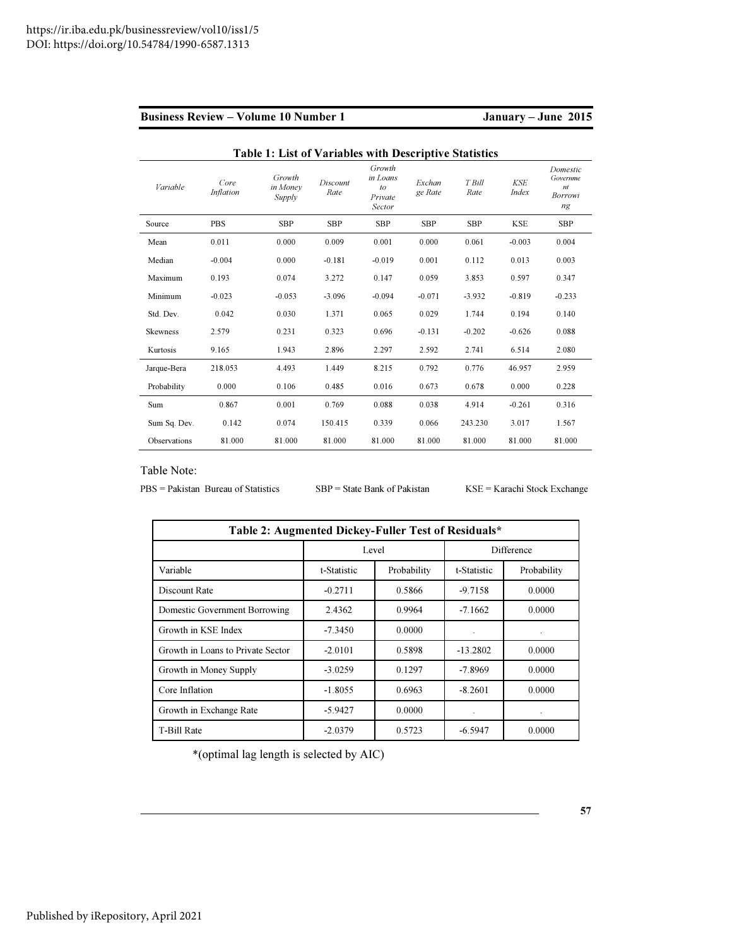| <b>Business Review – Volume 10 Number 1</b> |  |  |
|---------------------------------------------|--|--|
|                                             |  |  |

# January – June 2015

|                 |                          | Table 1: List of Variables with Descriptive Statistics |                  |                                               |                   |                |                            |                                              |
|-----------------|--------------------------|--------------------------------------------------------|------------------|-----------------------------------------------|-------------------|----------------|----------------------------|----------------------------------------------|
| Variable        | Core<br><b>Inflation</b> | Growth<br>in Money<br>Supply                           | Discount<br>Rate | Growth<br>in Loans<br>to<br>Private<br>Sector | Exchan<br>ge Rate | T Bill<br>Rate | <b>KSE</b><br><i>Index</i> | Domestic<br>Governme<br>n t<br>Borrowi<br>ng |
| Source          | <b>PBS</b>               | <b>SBP</b>                                             | <b>SBP</b>       | <b>SBP</b>                                    | <b>SBP</b>        | <b>SBP</b>     | <b>KSE</b>                 | <b>SBP</b>                                   |
| Mean            | 0.011                    | 0.000                                                  | 0.009            | 0.001                                         | 0.000             | 0.061          | $-0.003$                   | 0.004                                        |
| Median          | $-0.004$                 | 0.000                                                  | $-0.181$         | $-0.019$                                      | 0.001             | 0.112          | 0.013                      | 0.003                                        |
| Maximum         | 0.193                    | 0.074                                                  | 3.272            | 0.147                                         | 0.059             | 3.853          | 0.597                      | 0.347                                        |
| Minimum         | $-0.023$                 | $-0.053$                                               | $-3.096$         | $-0.094$                                      | $-0.071$          | $-3.932$       | $-0.819$                   | $-0.233$                                     |
| Std. Dev.       | 0.042                    | 0.030                                                  | 1.371            | 0.065                                         | 0.029             | 1.744          | 0.194                      | 0.140                                        |
| <b>Skewness</b> | 2.579                    | 0.231                                                  | 0.323            | 0.696                                         | $-0.131$          | $-0.202$       | $-0.626$                   | 0.088                                        |
| Kurtosis        | 9.165                    | 1.943                                                  | 2.896            | 2.297                                         | 2.592             | 2.741          | 6.514                      | 2.080                                        |
| Jarque-Bera     | 218.053                  | 4.493                                                  | 1.449            | 8.215                                         | 0.792             | 0.776          | 46.957                     | 2.959                                        |
| Probability     | 0.000                    | 0.106                                                  | 0.485            | 0.016                                         | 0.673             | 0.678          | 0.000                      | 0.228                                        |
| Sum             | 0.867                    | 0.001                                                  | 0.769            | 0.088                                         | 0.038             | 4.914          | $-0.261$                   | 0.316                                        |
| Sum Sq. Dev.    | 0.142                    | 0.074                                                  | 150.415          | 0.339                                         | 0.066             | 243.230        | 3.017                      | 1.567                                        |
| Observations    | 81.000                   | 81.000                                                 | 81.000           | 81.000                                        | 81.000            | 81.000         | 81.000                     | 81.000                                       |

#### Table Note:

PBS = Pakistan Bureau of Statistics SBP = State Bank of Pakistan KSE = Karachi Stock Exchange

| Table 2: Augmented Dickey-Fuller Test of Residuals* |             |             |                      |             |  |
|-----------------------------------------------------|-------------|-------------|----------------------|-------------|--|
|                                                     | Level       |             |                      | Difference  |  |
| Variable                                            | t-Statistic | Probability | t-Statistic          | Probability |  |
| Discount Rate                                       | $-0.2711$   | 0.5866      | $-9.7158$            | 0.0000      |  |
| Domestic Government Borrowing                       | 2.4362      | 0.9964      | $-7.1662$            | 0.0000      |  |
| Growth in KSE Index                                 | $-7.3450$   | 0.0000      | $\ddot{\phantom{0}}$ |             |  |
| Growth in Loans to Private Sector                   | $-2.0101$   | 0.5898      | $-13.2802$           | 0.0000      |  |
| Growth in Money Supply                              | $-3.0259$   | 0.1297      | $-7.8969$            | 0.0000      |  |
| Core Inflation                                      | $-1.8055$   | 0.6963      | $-8.2601$            | 0.0000      |  |
| Growth in Exchange Rate                             | $-5.9427$   | 0.0000      | $\cdot$              |             |  |
| <b>T-Bill Rate</b>                                  | $-2.0379$   | 0.5723      | $-6.5947$            | 0.0000      |  |

\*(optimal lag length is selected by AIC)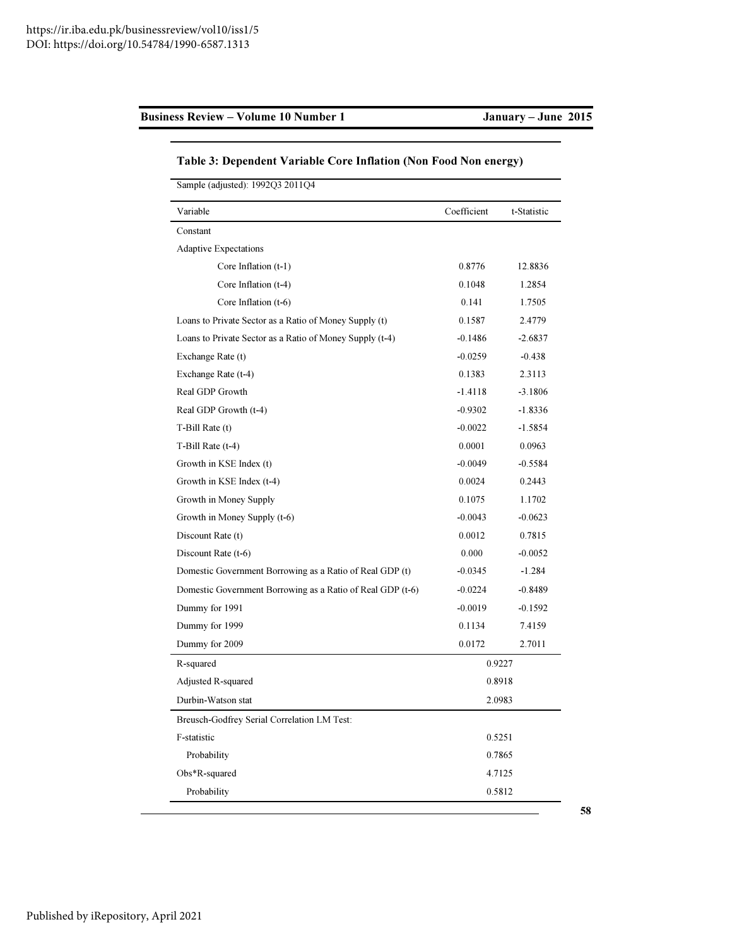| Sample (adjusted): 1992Q3 2011Q4                           |             |             |  |  |
|------------------------------------------------------------|-------------|-------------|--|--|
| Variable                                                   | Coefficient | t-Statistic |  |  |
| Constant                                                   |             |             |  |  |
| <b>Adaptive Expectations</b>                               |             |             |  |  |
| Core Inflation (t-1)                                       | 0.8776      | 12.8836     |  |  |
| Core Inflation (t-4)                                       | 0.1048      | 1.2854      |  |  |
| Core Inflation (t-6)                                       | 0.141       | 1.7505      |  |  |
| Loans to Private Sector as a Ratio of Money Supply (t)     | 0.1587      | 2.4779      |  |  |
| Loans to Private Sector as a Ratio of Money Supply (t-4)   | $-0.1486$   | $-2.6837$   |  |  |
| Exchange Rate (t)                                          | $-0.0259$   | $-0.438$    |  |  |
| Exchange Rate (t-4)                                        | 0.1383      | 2.3113      |  |  |
| Real GDP Growth                                            | $-1.4118$   | $-3.1806$   |  |  |
| Real GDP Growth (t-4)                                      | $-0.9302$   | $-1.8336$   |  |  |
| T-Bill Rate (t)                                            | $-0.0022$   | $-1.5854$   |  |  |
| T-Bill Rate (t-4)                                          | 0.0001      | 0.0963      |  |  |
| Growth in KSE Index (t)                                    | $-0.0049$   | $-0.5584$   |  |  |
| Growth in KSE Index (t-4)                                  | 0.0024      | 0.2443      |  |  |
| Growth in Money Supply                                     | 0.1075      | 1.1702      |  |  |
| Growth in Money Supply (t-6)                               | $-0.0043$   | $-0.0623$   |  |  |
| Discount Rate (t)                                          | 0.0012      | 0.7815      |  |  |
| Discount Rate (t-6)                                        | 0.000       | $-0.0052$   |  |  |
| Domestic Government Borrowing as a Ratio of Real GDP (t)   | $-0.0345$   | $-1.284$    |  |  |
| Domestic Government Borrowing as a Ratio of Real GDP (t-6) | $-0.0224$   | $-0.8489$   |  |  |
| Dummy for 1991                                             | $-0.0019$   | $-0.1592$   |  |  |
| Dummy for 1999                                             | 0.1134      | 7.4159      |  |  |
| Dummy for 2009                                             | 0.0172      | 2.7011      |  |  |
| R-squared                                                  |             | 0.9227      |  |  |
| Adjusted R-squared                                         | 0.8918      |             |  |  |
| Durbin-Watson stat                                         | 2.0983      |             |  |  |
| Breusch-Godfrey Serial Correlation LM Test:                |             |             |  |  |
| F-statistic                                                |             | 0.5251      |  |  |
| Probability                                                |             | 0.7865      |  |  |
| Obs*R-squared                                              |             | 4.7125      |  |  |
| Probability                                                |             | 0.5812      |  |  |

# Table 3: Dependent Variable Core Inflation (Non Food Non energy)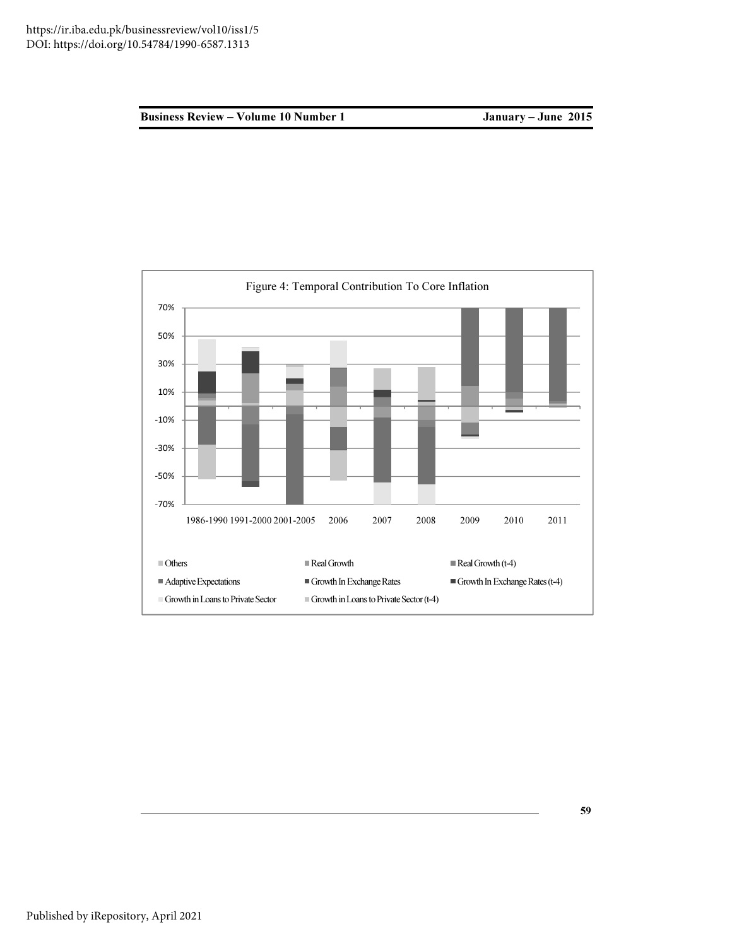